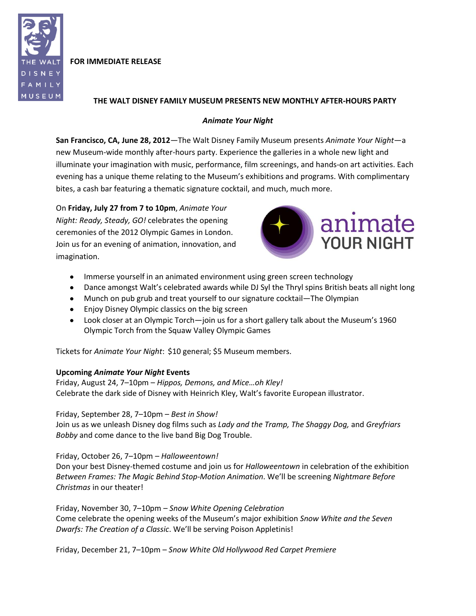

**FOR IMMEDIATE RELEASE**

## **THE WALT DISNEY FAMILY MUSEUM PRESENTS NEW MONTHLY AFTER-HOURS PARTY**

# *Animate Your Night*

**San Francisco, CA, June 28, 2012**—The Walt Disney Family Museum presents *Animate Your Night*—a new Museum-wide monthly after-hours party. Experience the galleries in a whole new light and illuminate your imagination with music, performance, film screenings, and hands-on art activities. Each evening has a unique theme relating to the Museum's exhibitions and programs. With complimentary bites, a cash bar featuring a thematic signature cocktail, and much, much more.

On **Friday, July 27 from 7 to 10pm**, *Animate Your Night: Ready, Steady, GO!* celebrates the opening ceremonies of the 2012 Olympic Games in London. Join us for an evening of animation, innovation, and imagination.



- Immerse yourself in an animated environment using green screen technology
- Dance amongst Walt's celebrated awards while DJ Syl the Thryl spins British beats all night long
- Munch on pub grub and treat yourself to our signature cocktail—The Olympian
- Enjoy Disney Olympic classics on the big screen
- Look closer at an Olympic Torch—join us for a short gallery talk about the Museum's 1960 Olympic Torch from the Squaw Valley Olympic Games

Tickets for *Animate Your Night*: \$10 general; \$5 Museum members.

## **Upcoming** *Animate Your Night* **Events**

Friday, August 24, 7–10pm – *Hippos, Demons, and Mice…oh Kley!* Celebrate the dark side of Disney with Heinrich Kley, Walt's favorite European illustrator.

Friday, September 28, 7–10pm – *Best in Show!*

Join us as we unleash Disney dog films such as *Lady and the Tramp, The Shaggy Dog,* and *Greyfriars Bobby* and come dance to the live band Big Dog Trouble.

## Friday, October 26, 7–10pm – *Halloweentown!*

Don your best Disney-themed costume and join us for *Halloweentown* in celebration of the exhibition *Between Frames: The Magic Behind Stop-Motion Animation*. We'll be screening *Nightmare Before Christmas* in our theater!

Friday, November 30, 7–10pm – *Snow White Opening Celebration* Come celebrate the opening weeks of the Museum's major exhibition *Snow White and the Seven Dwarfs: The Creation of a Classic*. We'll be serving Poison Appletinis!

Friday, December 21, 7–10pm – *Snow White Old Hollywood Red Carpet Premiere*